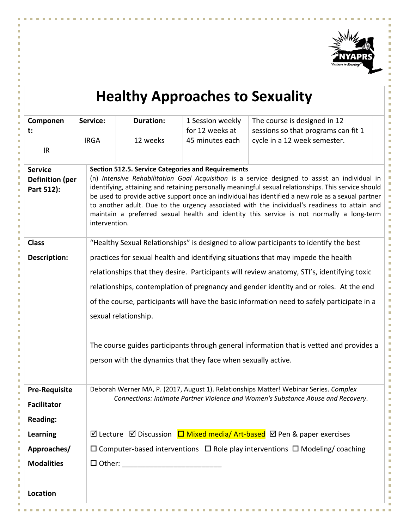

**CONTRACTOR** 

**III** п

 $\overline{\phantom{a}}$ m.  $\mathbf{u}$ m. ×  $\mathbf{u}$ **COLLEGE**  $\mathcal{H}$  $\mathcal{C}^{\mathcal{A}}$ 

П ш

× T. m n. . . . . .

à.

| <b>Healthy Approaches to Sexuality</b>                                                      |                                                                                                                                                                                                                                                                                                                                                                                                                                                                                                                                                                                         |                                                                                              |                                                               |                                                                                                                                                                           |  |  |
|---------------------------------------------------------------------------------------------|-----------------------------------------------------------------------------------------------------------------------------------------------------------------------------------------------------------------------------------------------------------------------------------------------------------------------------------------------------------------------------------------------------------------------------------------------------------------------------------------------------------------------------------------------------------------------------------------|----------------------------------------------------------------------------------------------|---------------------------------------------------------------|---------------------------------------------------------------------------------------------------------------------------------------------------------------------------|--|--|
| Componen<br>t:<br>IR                                                                        | Service:<br><b>IRGA</b>                                                                                                                                                                                                                                                                                                                                                                                                                                                                                                                                                                 | <b>Duration:</b><br>12 weeks                                                                 | 1 Session weekly<br>for 12 weeks at<br>45 minutes each        | The course is designed in 12<br>sessions so that programs can fit 1<br>cycle in a 12 week semester.                                                                       |  |  |
| <b>Service</b><br><b>Definition (per</b><br>Part 512):                                      | <b>Section 512.5. Service Categories and Requirements</b><br>(n) Intensive Rehabilitation Goal Acquisition is a service designed to assist an individual in<br>identifying, attaining and retaining personally meaningful sexual relationships. This service should<br>be used to provide active support once an individual has identified a new role as a sexual partner<br>to another adult. Due to the urgency associated with the individual's readiness to attain and<br>maintain a preferred sexual health and identity this service is not normally a long-term<br>intervention. |                                                                                              |                                                               |                                                                                                                                                                           |  |  |
| <b>Class</b>                                                                                |                                                                                                                                                                                                                                                                                                                                                                                                                                                                                                                                                                                         | "Healthy Sexual Relationships" is designed to allow participants to identify the best        |                                                               |                                                                                                                                                                           |  |  |
| Description:                                                                                |                                                                                                                                                                                                                                                                                                                                                                                                                                                                                                                                                                                         | practices for sexual health and identifying situations that may impede the health            |                                                               |                                                                                                                                                                           |  |  |
|                                                                                             |                                                                                                                                                                                                                                                                                                                                                                                                                                                                                                                                                                                         |                                                                                              |                                                               | relationships that they desire. Participants will review anatomy, STI's, identifying toxic                                                                                |  |  |
|                                                                                             |                                                                                                                                                                                                                                                                                                                                                                                                                                                                                                                                                                                         |                                                                                              |                                                               | relationships, contemplation of pregnancy and gender identity and or roles. At the end                                                                                    |  |  |
| of the course, participants will have the basic information need to safely participate in a |                                                                                                                                                                                                                                                                                                                                                                                                                                                                                                                                                                                         |                                                                                              |                                                               |                                                                                                                                                                           |  |  |
|                                                                                             |                                                                                                                                                                                                                                                                                                                                                                                                                                                                                                                                                                                         | sexual relationship.                                                                         |                                                               |                                                                                                                                                                           |  |  |
|                                                                                             |                                                                                                                                                                                                                                                                                                                                                                                                                                                                                                                                                                                         |                                                                                              |                                                               | The course guides participants through general information that is vetted and provides a                                                                                  |  |  |
|                                                                                             |                                                                                                                                                                                                                                                                                                                                                                                                                                                                                                                                                                                         |                                                                                              | person with the dynamics that they face when sexually active. |                                                                                                                                                                           |  |  |
| <b>Pre-Requisite</b><br><b>Facilitator</b><br><b>Reading:</b>                               |                                                                                                                                                                                                                                                                                                                                                                                                                                                                                                                                                                                         |                                                                                              |                                                               | Deborah Werner MA, P. (2017, August 1). Relationships Matter! Webinar Series. Complex<br>Connections: Intimate Partner Violence and Women's Substance Abuse and Recovery. |  |  |
| <b>Learning</b>                                                                             |                                                                                                                                                                                                                                                                                                                                                                                                                                                                                                                                                                                         |                                                                                              |                                                               | ⊠ Lecture ⊠ Discussion $\Box$ Mixed media/ Art-based ⊠ Pen & paper exercises                                                                                              |  |  |
| Approaches/                                                                                 |                                                                                                                                                                                                                                                                                                                                                                                                                                                                                                                                                                                         | $\Box$ Computer-based interventions $\Box$ Role play interventions $\Box$ Modeling/ coaching |                                                               |                                                                                                                                                                           |  |  |
| <b>Modalities</b>                                                                           |                                                                                                                                                                                                                                                                                                                                                                                                                                                                                                                                                                                         |                                                                                              |                                                               |                                                                                                                                                                           |  |  |
| Location                                                                                    |                                                                                                                                                                                                                                                                                                                                                                                                                                                                                                                                                                                         |                                                                                              |                                                               |                                                                                                                                                                           |  |  |

×.

m

**TILL** T.  $\mathbf{m}$  $\sim$  $\mathbf{u}$ ×  $\overline{\phantom{a}}$  п  $\mathbf{u}$  **TI** H ×

T. T.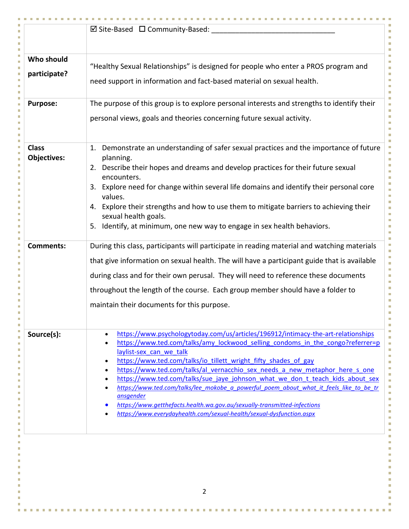| $\boxtimes$ Site-Based $\Box$ Community-Based:<br>"Healthy Sexual Relationships" is designed for people who enter a PROS program and<br>participate?<br>need support in information and fact-based material on sexual health.<br>The purpose of this group is to explore personal interests and strengths to identify their<br>personal views, goals and theories concerning future sexual activity.<br>Demonstrate an understanding of safer sexual practices and the importance of future<br>1.<br><b>Objectives:</b><br>planning.<br>2. Describe their hopes and dreams and develop practices for their future sexual<br>encounters.<br>3. Explore need for change within several life domains and identify their personal core<br>values.<br>4. Explore their strengths and how to use them to mitigate barriers to achieving their<br>sexual health goals.<br>Identify, at minimum, one new way to engage in sex health behaviors.<br>5.<br>During this class, participants will participate in reading material and watching materials<br>that give information on sexual health. The will have a participant guide that is available<br>during class and for their own perusal. They will need to reference these documents<br>throughout the length of the course. Each group member should have a folder to<br>maintain their documents for this purpose.<br>https://www.psychologytoday.com/us/articles/196912/intimacy-the-art-relationships<br>Source(s):<br>$\bullet$<br>https://www.ted.com/talks/amy_lockwood_selling_condoms_in_the_congo?referrer=p<br>$\bullet$<br>laylist-sex can we talk<br>https://www.ted.com/talks/io tillett wright fifty shades of gay<br>٠<br>https://www.ted.com/talks/al vernacchio sex needs a new metaphor here s one<br>$\bullet$<br>https://www.ted.com/talks/sue jaye johnson what we don t teach kids about sex<br>https://www.ted.com/talks/lee mokobe a powerful poem about what it feels like to be tr<br>ansgender<br>https://www.getthefacts.health.wa.gov.au/sexually-transmitted-infections<br>https://www.everydayhealth.com/sexual-health/sexual-dysfunction.aspx |                  |                |
|------------------------------------------------------------------------------------------------------------------------------------------------------------------------------------------------------------------------------------------------------------------------------------------------------------------------------------------------------------------------------------------------------------------------------------------------------------------------------------------------------------------------------------------------------------------------------------------------------------------------------------------------------------------------------------------------------------------------------------------------------------------------------------------------------------------------------------------------------------------------------------------------------------------------------------------------------------------------------------------------------------------------------------------------------------------------------------------------------------------------------------------------------------------------------------------------------------------------------------------------------------------------------------------------------------------------------------------------------------------------------------------------------------------------------------------------------------------------------------------------------------------------------------------------------------------------------------------------------------------------------------------------------------------------------------------------------------------------------------------------------------------------------------------------------------------------------------------------------------------------------------------------------------------------------------------------------------------------------------------------------------------------------------------------------------------------------------------------------------------------------|------------------|----------------|
|                                                                                                                                                                                                                                                                                                                                                                                                                                                                                                                                                                                                                                                                                                                                                                                                                                                                                                                                                                                                                                                                                                                                                                                                                                                                                                                                                                                                                                                                                                                                                                                                                                                                                                                                                                                                                                                                                                                                                                                                                                                                                                                              |                  |                |
|                                                                                                                                                                                                                                                                                                                                                                                                                                                                                                                                                                                                                                                                                                                                                                                                                                                                                                                                                                                                                                                                                                                                                                                                                                                                                                                                                                                                                                                                                                                                                                                                                                                                                                                                                                                                                                                                                                                                                                                                                                                                                                                              |                  |                |
|                                                                                                                                                                                                                                                                                                                                                                                                                                                                                                                                                                                                                                                                                                                                                                                                                                                                                                                                                                                                                                                                                                                                                                                                                                                                                                                                                                                                                                                                                                                                                                                                                                                                                                                                                                                                                                                                                                                                                                                                                                                                                                                              | Who should       |                |
|                                                                                                                                                                                                                                                                                                                                                                                                                                                                                                                                                                                                                                                                                                                                                                                                                                                                                                                                                                                                                                                                                                                                                                                                                                                                                                                                                                                                                                                                                                                                                                                                                                                                                                                                                                                                                                                                                                                                                                                                                                                                                                                              |                  |                |
|                                                                                                                                                                                                                                                                                                                                                                                                                                                                                                                                                                                                                                                                                                                                                                                                                                                                                                                                                                                                                                                                                                                                                                                                                                                                                                                                                                                                                                                                                                                                                                                                                                                                                                                                                                                                                                                                                                                                                                                                                                                                                                                              |                  |                |
|                                                                                                                                                                                                                                                                                                                                                                                                                                                                                                                                                                                                                                                                                                                                                                                                                                                                                                                                                                                                                                                                                                                                                                                                                                                                                                                                                                                                                                                                                                                                                                                                                                                                                                                                                                                                                                                                                                                                                                                                                                                                                                                              | <b>Purpose:</b>  |                |
|                                                                                                                                                                                                                                                                                                                                                                                                                                                                                                                                                                                                                                                                                                                                                                                                                                                                                                                                                                                                                                                                                                                                                                                                                                                                                                                                                                                                                                                                                                                                                                                                                                                                                                                                                                                                                                                                                                                                                                                                                                                                                                                              |                  |                |
|                                                                                                                                                                                                                                                                                                                                                                                                                                                                                                                                                                                                                                                                                                                                                                                                                                                                                                                                                                                                                                                                                                                                                                                                                                                                                                                                                                                                                                                                                                                                                                                                                                                                                                                                                                                                                                                                                                                                                                                                                                                                                                                              | <b>Class</b>     |                |
|                                                                                                                                                                                                                                                                                                                                                                                                                                                                                                                                                                                                                                                                                                                                                                                                                                                                                                                                                                                                                                                                                                                                                                                                                                                                                                                                                                                                                                                                                                                                                                                                                                                                                                                                                                                                                                                                                                                                                                                                                                                                                                                              |                  |                |
|                                                                                                                                                                                                                                                                                                                                                                                                                                                                                                                                                                                                                                                                                                                                                                                                                                                                                                                                                                                                                                                                                                                                                                                                                                                                                                                                                                                                                                                                                                                                                                                                                                                                                                                                                                                                                                                                                                                                                                                                                                                                                                                              |                  |                |
|                                                                                                                                                                                                                                                                                                                                                                                                                                                                                                                                                                                                                                                                                                                                                                                                                                                                                                                                                                                                                                                                                                                                                                                                                                                                                                                                                                                                                                                                                                                                                                                                                                                                                                                                                                                                                                                                                                                                                                                                                                                                                                                              |                  |                |
|                                                                                                                                                                                                                                                                                                                                                                                                                                                                                                                                                                                                                                                                                                                                                                                                                                                                                                                                                                                                                                                                                                                                                                                                                                                                                                                                                                                                                                                                                                                                                                                                                                                                                                                                                                                                                                                                                                                                                                                                                                                                                                                              |                  |                |
|                                                                                                                                                                                                                                                                                                                                                                                                                                                                                                                                                                                                                                                                                                                                                                                                                                                                                                                                                                                                                                                                                                                                                                                                                                                                                                                                                                                                                                                                                                                                                                                                                                                                                                                                                                                                                                                                                                                                                                                                                                                                                                                              | <b>Comments:</b> |                |
|                                                                                                                                                                                                                                                                                                                                                                                                                                                                                                                                                                                                                                                                                                                                                                                                                                                                                                                                                                                                                                                                                                                                                                                                                                                                                                                                                                                                                                                                                                                                                                                                                                                                                                                                                                                                                                                                                                                                                                                                                                                                                                                              |                  |                |
|                                                                                                                                                                                                                                                                                                                                                                                                                                                                                                                                                                                                                                                                                                                                                                                                                                                                                                                                                                                                                                                                                                                                                                                                                                                                                                                                                                                                                                                                                                                                                                                                                                                                                                                                                                                                                                                                                                                                                                                                                                                                                                                              |                  |                |
|                                                                                                                                                                                                                                                                                                                                                                                                                                                                                                                                                                                                                                                                                                                                                                                                                                                                                                                                                                                                                                                                                                                                                                                                                                                                                                                                                                                                                                                                                                                                                                                                                                                                                                                                                                                                                                                                                                                                                                                                                                                                                                                              |                  |                |
|                                                                                                                                                                                                                                                                                                                                                                                                                                                                                                                                                                                                                                                                                                                                                                                                                                                                                                                                                                                                                                                                                                                                                                                                                                                                                                                                                                                                                                                                                                                                                                                                                                                                                                                                                                                                                                                                                                                                                                                                                                                                                                                              |                  |                |
|                                                                                                                                                                                                                                                                                                                                                                                                                                                                                                                                                                                                                                                                                                                                                                                                                                                                                                                                                                                                                                                                                                                                                                                                                                                                                                                                                                                                                                                                                                                                                                                                                                                                                                                                                                                                                                                                                                                                                                                                                                                                                                                              |                  |                |
|                                                                                                                                                                                                                                                                                                                                                                                                                                                                                                                                                                                                                                                                                                                                                                                                                                                                                                                                                                                                                                                                                                                                                                                                                                                                                                                                                                                                                                                                                                                                                                                                                                                                                                                                                                                                                                                                                                                                                                                                                                                                                                                              |                  |                |
|                                                                                                                                                                                                                                                                                                                                                                                                                                                                                                                                                                                                                                                                                                                                                                                                                                                                                                                                                                                                                                                                                                                                                                                                                                                                                                                                                                                                                                                                                                                                                                                                                                                                                                                                                                                                                                                                                                                                                                                                                                                                                                                              |                  |                |
|                                                                                                                                                                                                                                                                                                                                                                                                                                                                                                                                                                                                                                                                                                                                                                                                                                                                                                                                                                                                                                                                                                                                                                                                                                                                                                                                                                                                                                                                                                                                                                                                                                                                                                                                                                                                                                                                                                                                                                                                                                                                                                                              |                  |                |
|                                                                                                                                                                                                                                                                                                                                                                                                                                                                                                                                                                                                                                                                                                                                                                                                                                                                                                                                                                                                                                                                                                                                                                                                                                                                                                                                                                                                                                                                                                                                                                                                                                                                                                                                                                                                                                                                                                                                                                                                                                                                                                                              |                  |                |
|                                                                                                                                                                                                                                                                                                                                                                                                                                                                                                                                                                                                                                                                                                                                                                                                                                                                                                                                                                                                                                                                                                                                                                                                                                                                                                                                                                                                                                                                                                                                                                                                                                                                                                                                                                                                                                                                                                                                                                                                                                                                                                                              |                  |                |
|                                                                                                                                                                                                                                                                                                                                                                                                                                                                                                                                                                                                                                                                                                                                                                                                                                                                                                                                                                                                                                                                                                                                                                                                                                                                                                                                                                                                                                                                                                                                                                                                                                                                                                                                                                                                                                                                                                                                                                                                                                                                                                                              |                  |                |
|                                                                                                                                                                                                                                                                                                                                                                                                                                                                                                                                                                                                                                                                                                                                                                                                                                                                                                                                                                                                                                                                                                                                                                                                                                                                                                                                                                                                                                                                                                                                                                                                                                                                                                                                                                                                                                                                                                                                                                                                                                                                                                                              |                  |                |
|                                                                                                                                                                                                                                                                                                                                                                                                                                                                                                                                                                                                                                                                                                                                                                                                                                                                                                                                                                                                                                                                                                                                                                                                                                                                                                                                                                                                                                                                                                                                                                                                                                                                                                                                                                                                                                                                                                                                                                                                                                                                                                                              |                  |                |
|                                                                                                                                                                                                                                                                                                                                                                                                                                                                                                                                                                                                                                                                                                                                                                                                                                                                                                                                                                                                                                                                                                                                                                                                                                                                                                                                                                                                                                                                                                                                                                                                                                                                                                                                                                                                                                                                                                                                                                                                                                                                                                                              |                  |                |
|                                                                                                                                                                                                                                                                                                                                                                                                                                                                                                                                                                                                                                                                                                                                                                                                                                                                                                                                                                                                                                                                                                                                                                                                                                                                                                                                                                                                                                                                                                                                                                                                                                                                                                                                                                                                                                                                                                                                                                                                                                                                                                                              |                  |                |
|                                                                                                                                                                                                                                                                                                                                                                                                                                                                                                                                                                                                                                                                                                                                                                                                                                                                                                                                                                                                                                                                                                                                                                                                                                                                                                                                                                                                                                                                                                                                                                                                                                                                                                                                                                                                                                                                                                                                                                                                                                                                                                                              |                  |                |
|                                                                                                                                                                                                                                                                                                                                                                                                                                                                                                                                                                                                                                                                                                                                                                                                                                                                                                                                                                                                                                                                                                                                                                                                                                                                                                                                                                                                                                                                                                                                                                                                                                                                                                                                                                                                                                                                                                                                                                                                                                                                                                                              |                  |                |
|                                                                                                                                                                                                                                                                                                                                                                                                                                                                                                                                                                                                                                                                                                                                                                                                                                                                                                                                                                                                                                                                                                                                                                                                                                                                                                                                                                                                                                                                                                                                                                                                                                                                                                                                                                                                                                                                                                                                                                                                                                                                                                                              |                  |                |
|                                                                                                                                                                                                                                                                                                                                                                                                                                                                                                                                                                                                                                                                                                                                                                                                                                                                                                                                                                                                                                                                                                                                                                                                                                                                                                                                                                                                                                                                                                                                                                                                                                                                                                                                                                                                                                                                                                                                                                                                                                                                                                                              |                  |                |
|                                                                                                                                                                                                                                                                                                                                                                                                                                                                                                                                                                                                                                                                                                                                                                                                                                                                                                                                                                                                                                                                                                                                                                                                                                                                                                                                                                                                                                                                                                                                                                                                                                                                                                                                                                                                                                                                                                                                                                                                                                                                                                                              |                  |                |
|                                                                                                                                                                                                                                                                                                                                                                                                                                                                                                                                                                                                                                                                                                                                                                                                                                                                                                                                                                                                                                                                                                                                                                                                                                                                                                                                                                                                                                                                                                                                                                                                                                                                                                                                                                                                                                                                                                                                                                                                                                                                                                                              |                  | $\overline{2}$ |

L.

**COLLEGE** 

T,

m.

 $\label{eq:2.1} \mathbf{u}^{\top} \mathbf{u}^{\top} = \mathbf{u}^{\top} \mathbf{u}^{\top} \mathbf{u}^{\top} = \mathbf{u}^{\top} \mathbf{u}^{\top} \mathbf{u}^{\top} = \mathbf{u}^{\top} \mathbf{u}^{\top} \mathbf{u}^{\top}$ 

**COLLEGE** 

**CONTRACTOR**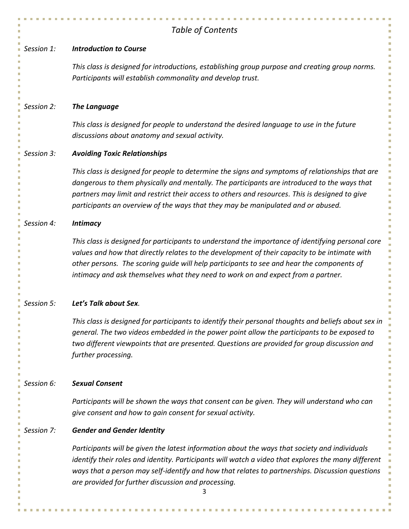|            | Table of Contents                                                                                                                                                                                                                                                                                                                                                                    |
|------------|--------------------------------------------------------------------------------------------------------------------------------------------------------------------------------------------------------------------------------------------------------------------------------------------------------------------------------------------------------------------------------------|
| Session 1: | <b>Introduction to Course</b>                                                                                                                                                                                                                                                                                                                                                        |
|            | This class is designed for introductions, establishing group purpose and creating group norms.<br>Participants will establish commonality and develop trust.                                                                                                                                                                                                                         |
| Session 2: | <b>The Language</b>                                                                                                                                                                                                                                                                                                                                                                  |
|            | This class is designed for people to understand the desired language to use in the future<br>discussions about anatomy and sexual activity.                                                                                                                                                                                                                                          |
| Session 3: | <b>Avoiding Toxic Relationships</b>                                                                                                                                                                                                                                                                                                                                                  |
|            | This class is designed for people to determine the signs and symptoms of relationships that are<br>dangerous to them physically and mentally. The participants are introduced to the ways that<br>partners may limit and restrict their access to others and resources. This is designed to give<br>participants an overview of the ways that they may be manipulated and or abused. |
| Session 4: | <b>Intimacy</b>                                                                                                                                                                                                                                                                                                                                                                      |
|            | This class is designed for participants to understand the importance of identifying personal core<br>values and how that directly relates to the development of their capacity to be intimate with<br>other persons. The scoring guide will help participants to see and hear the components of<br>intimacy and ask themselves what they need to work on and expect from a partner.  |
| Session 5: | Let's Talk about Sex.                                                                                                                                                                                                                                                                                                                                                                |
|            | This class is designed for participants to identify their personal thoughts and beliefs about sex in<br>general. The two videos embedded in the power point allow the participants to be exposed to<br>two different viewpoints that are presented. Questions are provided for group discussion and<br>further processing.                                                           |
| Session 6: | <b>Sexual Consent</b>                                                                                                                                                                                                                                                                                                                                                                |
|            | Participants will be shown the ways that consent can be given. They will understand who can<br>give consent and how to gain consent for sexual activity.                                                                                                                                                                                                                             |
| Session 7: | <b>Gender and Gender Identity</b>                                                                                                                                                                                                                                                                                                                                                    |
|            | Participants will be given the latest information about the ways that society and individuals<br>identify their roles and identity. Participants will watch a video that explores the many different<br>ways that a person may self-identify and how that relates to partnerships. Discussion questions<br>are provided for further discussion and processing.                       |

'n.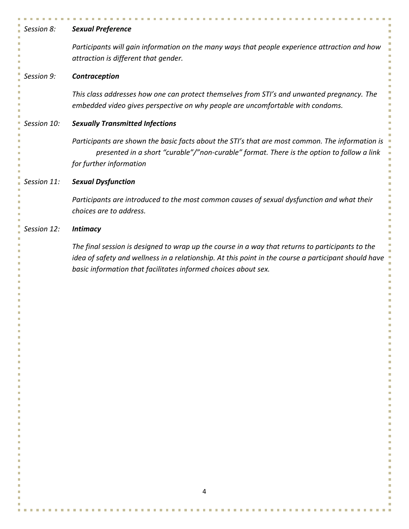| Session 8:                      | <b>Sexual Preference</b>                                                                                                                                                                                                                                                                                      |
|---------------------------------|---------------------------------------------------------------------------------------------------------------------------------------------------------------------------------------------------------------------------------------------------------------------------------------------------------------|
|                                 | Participants will gain information on the many ways that people experience attraction and how<br>attraction is different that gender.                                                                                                                                                                         |
| Session 9:                      | Contraception                                                                                                                                                                                                                                                                                                 |
|                                 | This class addresses how one can protect themselves from STI's and unwanted pregnancy. The<br>embedded video gives perspective on why people are uncomfortable with condoms.                                                                                                                                  |
| Session 10:                     | <b>Sexually Transmitted Infections</b>                                                                                                                                                                                                                                                                        |
|                                 | Participants are shown the basic facts about the STI's that are most common. The information is<br>presented in a short "curable"/"non-curable" format. There is the option to follow a link<br>for further information                                                                                       |
| Session 11:                     | <b>Sexual Dysfunction</b>                                                                                                                                                                                                                                                                                     |
|                                 | Participants are introduced to the most common causes of sexual dysfunction and what their<br>choices are to address.                                                                                                                                                                                         |
| Session 12:                     | <b>Intimacy</b>                                                                                                                                                                                                                                                                                               |
| ш<br>Ш<br>Ш<br>П<br>П<br>П<br>Ш | The final session is designed to wrap up the course in a way that returns to participants to the<br>idea of safety and wellness in a relationship. At this point in the course a participant should have<br>basic information that facilitates informed choices about sex.<br>П<br>Ш<br>П<br>П<br>Ш<br>H<br>Ш |

 $\overline{\phantom{a}}$ m. × m. ×  $\mathbf{u}$ m. m. m.  $\mathbf{r}$  $\mathcal{L}_{\mathcal{A}}$ m.  $\blacksquare$  $\mathcal{L}_{\mathcal{A}}$  $\mathbf{u}$ 

n. T. ш  $\overline{\phantom{a}}$ 

J. T,

J.

 $\overline{\phantom{a}}$ a.

ò.  $\overline{\phantom{a}}$ 

 $\bar{\mathbf{r}}$ 

×

п

Ĥ,

Ì,

Ì. Ì,

Ì.

Ī. Ì.

×

L.

T.

m. m. × m.  $\overline{\phantom{a}}$ ×  $\mathbf{u}$ m. m.  $\mathcal{L}_{\mathcal{A}}$ m. m.  $\sim$  $\mathbf{r}$  $\mathcal{C}$  $\mathbf{u}$  $\mathcal{C}^{\mathcal{A}}$ n. n.  $\blacksquare$ à.

× **IT**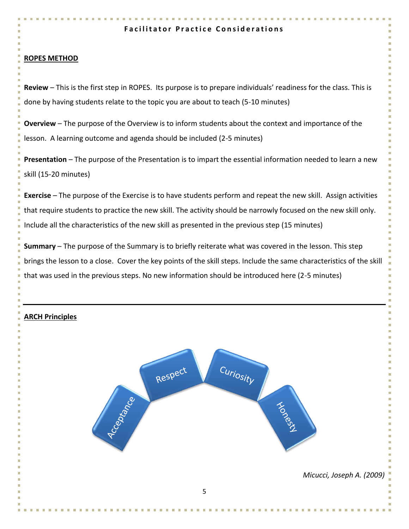## **Facilitator Practice Considerations**

## **ROPES METHOD**

**Review** – This is the first step in ROPES. Its purpose is to prepare individuals' readiness for the class. This is done by having students relate to the topic you are about to teach (5-10 minutes)

**Overview** – The purpose of the Overview is to inform students about the context and importance of the lesson. A learning outcome and agenda should be included (2-5 minutes)

**Presentation** – The purpose of the Presentation is to impart the essential information needed to learn a new skill (15-20 minutes)

**Exercise** – The purpose of the Exercise is to have students perform and repeat the new skill. Assign activities that require students to practice the new skill. The activity should be narrowly focused on the new skill only. Include all the characteristics of the new skill as presented in the previous step (15 minutes)

**Summary** – The purpose of the Summary is to briefly reiterate what was covered in the lesson. This step brings the lesson to a close. Cover the key points of the skill steps. Include the same characteristics of the skill that was used in the previous steps. No new information should be introduced here (2-5 minutes)

## **ARCH Principles**